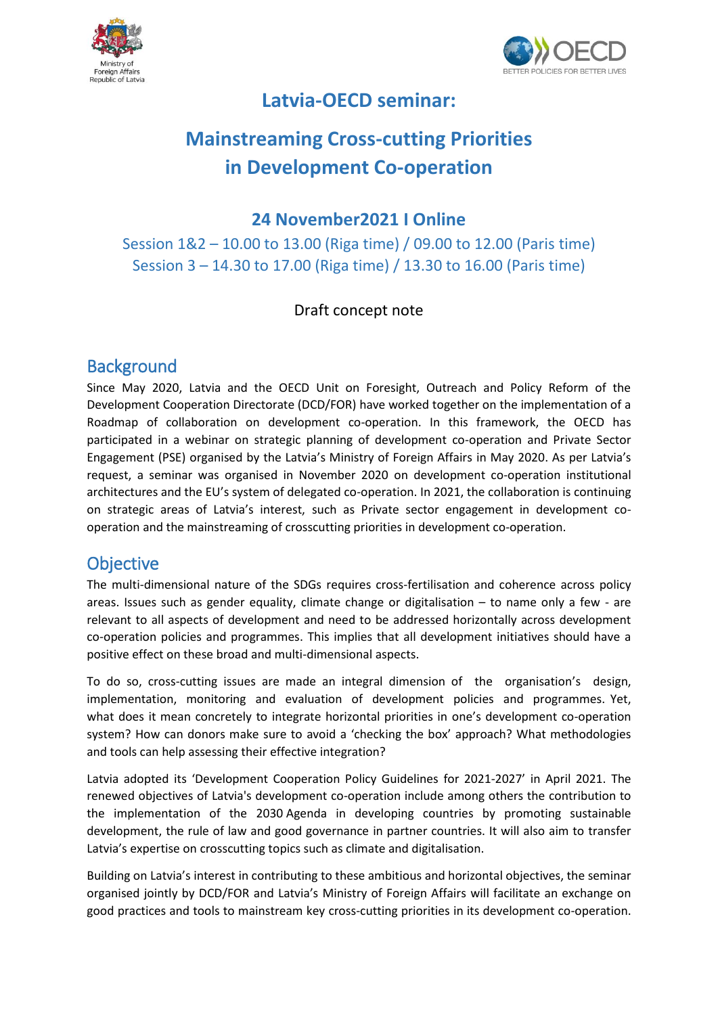



# **Latvia-OECD seminar:**

# **Mainstreaming Cross-cutting Priorities in Development Co-operation**

#### **24 November2021 I Online**

Session 1&2 – 10.00 to 13.00 (Riga time) / 09.00 to 12.00 (Paris time) Session 3 – 14.30 to 17.00 (Riga time) / 13.30 to 16.00 (Paris time)

#### Draft concept note

### **Background**

Since May 2020, Latvia and the OECD Unit on Foresight, Outreach and Policy Reform of the Development Cooperation Directorate (DCD/FOR) have worked together on the implementation of a Roadmap of collaboration on development co-operation. In this framework, the OECD has participated in a webinar on strategic planning of development co-operation and Private Sector Engagement (PSE) organised by the Latvia's Ministry of Foreign Affairs in May 2020. As per Latvia's request, a seminar was organised in November 2020 on development co-operation institutional architectures and the EU's system of delegated co-operation. In 2021, the collaboration is continuing on strategic areas of Latvia's interest, such as Private sector engagement in development cooperation and the mainstreaming of crosscutting priorities in development co-operation.

#### **Objective**

The multi-dimensional nature of the SDGs requires cross-fertilisation and coherence across policy areas. Issues such as gender equality, climate change or digitalisation – to name only a few - are relevant to all aspects of development and need to be addressed horizontally across development co-operation policies and programmes. This implies that all development initiatives should have a positive effect on these broad and multi-dimensional aspects.

To do so, cross-cutting issues are made an integral dimension of the organisation's design, implementation, monitoring and evaluation of development policies and programmes. Yet, what does it mean concretely to integrate horizontal priorities in one's development co-operation system? How can donors make sure to avoid a 'checking the box' approach? What methodologies and tools can help assessing their effective integration?

Latvia adopted its 'Development Cooperation Policy Guidelines for 2021-2027' in April 2021. The renewed objectives of Latvia's development co-operation include among others the contribution to the implementation of the 2030 Agenda in developing countries by promoting sustainable development, the rule of law and good governance in partner countries. It will also aim to transfer Latvia's expertise on crosscutting topics such as climate and digitalisation.

Building on Latvia's interest in contributing to these ambitious and horizontal objectives, the seminar organised jointly by DCD/FOR and Latvia's Ministry of Foreign Affairs will facilitate an exchange on good practices and tools to mainstream key cross-cutting priorities in its development co-operation.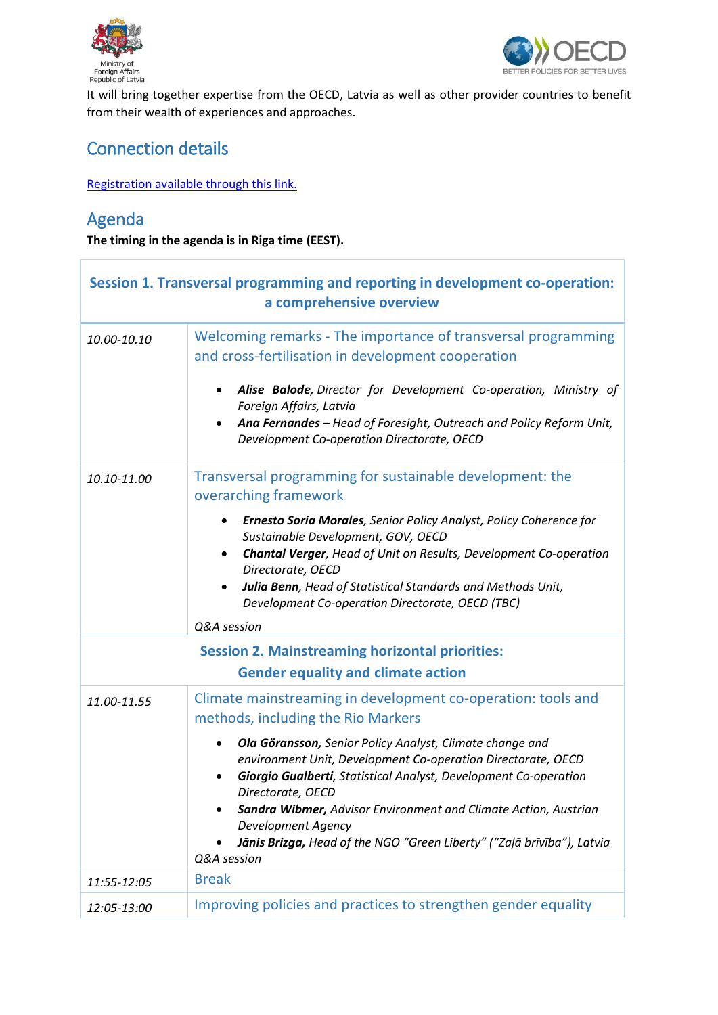



It will bring together expertise from the OECD, Latvia as well as other provider countries to benefit from their wealth of experiences and approaches.

# Connection details

[Registration available through this link.](https://meetoecd1.zoom.us/j/96998379082?pwd=SHFoOHlaMjdQS292ZVF6Z3NMbnNFUT09)

## Agenda

**The timing in the agenda is in Riga time (EEST).**

| Session 1. Transversal programming and reporting in development co-operation:<br>a comprehensive overview |                                                                                                                                                                                                                                                                                                                                                                                                                                                                                                           |
|-----------------------------------------------------------------------------------------------------------|-----------------------------------------------------------------------------------------------------------------------------------------------------------------------------------------------------------------------------------------------------------------------------------------------------------------------------------------------------------------------------------------------------------------------------------------------------------------------------------------------------------|
| 10.00-10.10                                                                                               | Welcoming remarks - The importance of transversal programming<br>and cross-fertilisation in development cooperation<br>Alise Balode, Director for Development Co-operation, Ministry of<br>Foreign Affairs, Latvia<br>Ana Fernandes - Head of Foresight, Outreach and Policy Reform Unit,<br>Development Co-operation Directorate, OECD                                                                                                                                                                   |
| 10.10-11.00                                                                                               | Transversal programming for sustainable development: the<br>overarching framework<br>Ernesto Soria Morales, Senior Policy Analyst, Policy Coherence for<br>Sustainable Development, GOV, OECD<br>Chantal Verger, Head of Unit on Results, Development Co-operation<br>Directorate, OECD<br>Julia Benn, Head of Statistical Standards and Methods Unit,<br>Development Co-operation Directorate, OECD (TBC)<br>Q&A session                                                                                 |
| <b>Session 2. Mainstreaming horizontal priorities:</b><br><b>Gender equality and climate action</b>       |                                                                                                                                                                                                                                                                                                                                                                                                                                                                                                           |
| 11.00-11.55                                                                                               | Climate mainstreaming in development co-operation: tools and<br>methods, including the Rio Markers<br>Ola Göransson, Senior Policy Analyst, Climate change and<br>environment Unit, Development Co-operation Directorate, OECD<br>Giorgio Gualberti, Statistical Analyst, Development Co-operation<br>Directorate, OECD<br>Sandra Wibmer, Advisor Environment and Climate Action, Austrian<br>Development Agency<br>Jānis Brizga, Head of the NGO "Green Liberty" ("Zaļā brīvība"), Latvia<br>Q&A session |
| 11:55-12:05                                                                                               | <b>Break</b>                                                                                                                                                                                                                                                                                                                                                                                                                                                                                              |
| 12:05-13:00                                                                                               | Improving policies and practices to strengthen gender equality                                                                                                                                                                                                                                                                                                                                                                                                                                            |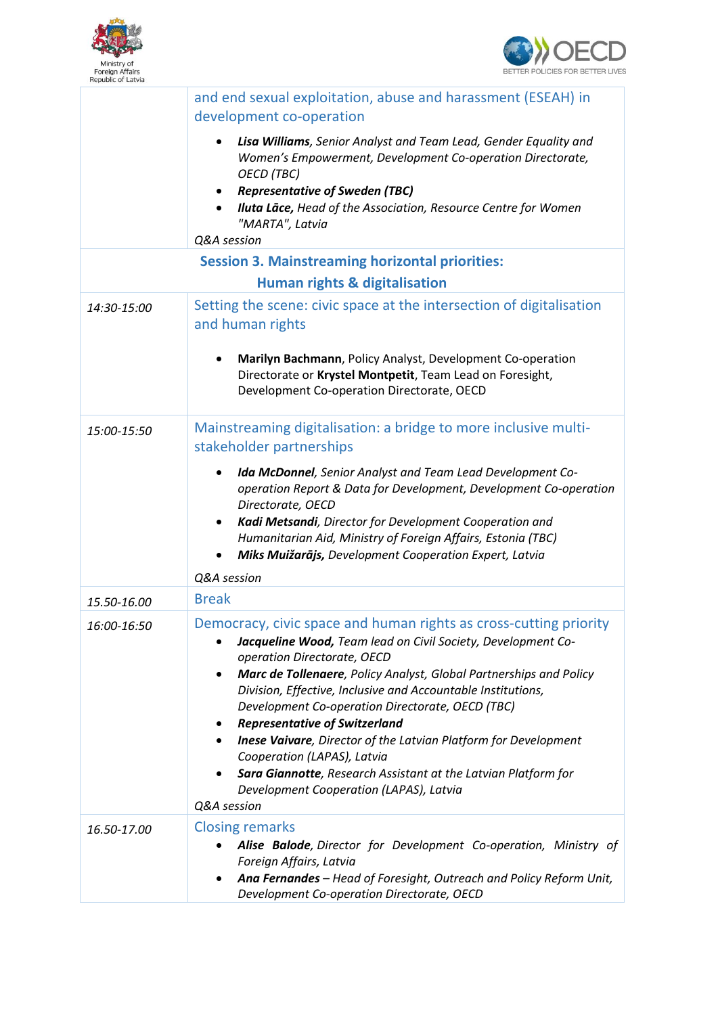



|                                                        | and end sexual exploitation, abuse and harassment (ESEAH) in<br>development co-operation                                                                                                                                                                                                                                                                           |  |
|--------------------------------------------------------|--------------------------------------------------------------------------------------------------------------------------------------------------------------------------------------------------------------------------------------------------------------------------------------------------------------------------------------------------------------------|--|
|                                                        | Lisa Williams, Senior Analyst and Team Lead, Gender Equality and<br>Women's Empowerment, Development Co-operation Directorate,<br><b>OECD</b> (TBC)<br><b>Representative of Sweden (TBC)</b><br><b>Iluta Lāce, Head of the Association, Resource Centre for Women</b><br>"MARTA", Latvia<br>Q&A session                                                            |  |
| <b>Session 3. Mainstreaming horizontal priorities:</b> |                                                                                                                                                                                                                                                                                                                                                                    |  |
| <b>Human rights &amp; digitalisation</b>               |                                                                                                                                                                                                                                                                                                                                                                    |  |
| 14:30-15:00                                            | Setting the scene: civic space at the intersection of digitalisation<br>and human rights<br>Marilyn Bachmann, Policy Analyst, Development Co-operation                                                                                                                                                                                                             |  |
|                                                        | Directorate or Krystel Montpetit, Team Lead on Foresight,<br>Development Co-operation Directorate, OECD                                                                                                                                                                                                                                                            |  |
| 15:00-15:50                                            | Mainstreaming digitalisation: a bridge to more inclusive multi-<br>stakeholder partnerships                                                                                                                                                                                                                                                                        |  |
|                                                        | Ida McDonnel, Senior Analyst and Team Lead Development Co-<br>٠<br>operation Report & Data for Development, Development Co-operation<br>Directorate, OECD<br>Kadi Metsandi, Director for Development Cooperation and<br>٠<br>Humanitarian Aid, Ministry of Foreign Affairs, Estonia (TBC)<br>Miks Muižarājs, Development Cooperation Expert, Latvia<br>Q&A session |  |
|                                                        | <b>Break</b>                                                                                                                                                                                                                                                                                                                                                       |  |
| 15.50-16.00<br>16:00-16:50                             | Democracy, civic space and human rights as cross-cutting priority<br>Jacqueline Wood, Team lead on Civil Society, Development Co-<br>operation Directorate, OECD                                                                                                                                                                                                   |  |
|                                                        | Marc de Tollenaere, Policy Analyst, Global Partnerships and Policy<br>٠<br>Division, Effective, Inclusive and Accountable Institutions,<br>Development Co-operation Directorate, OECD (TBC)<br><b>Representative of Switzerland</b><br><b>Inese Vaivare</b> , Director of the Latvian Platform for Development<br>٠                                                |  |
|                                                        | Cooperation (LAPAS), Latvia<br>Sara Giannotte, Research Assistant at the Latvian Platform for<br>Development Cooperation (LAPAS), Latvia<br>Q&A session                                                                                                                                                                                                            |  |
| 16.50-17.00                                            | <b>Closing remarks</b><br>Alise Balode, Director for Development Co-operation, Ministry of<br>Foreign Affairs, Latvia<br>Ana Fernandes - Head of Foresight, Outreach and Policy Reform Unit,<br>Development Co-operation Directorate, OECD                                                                                                                         |  |